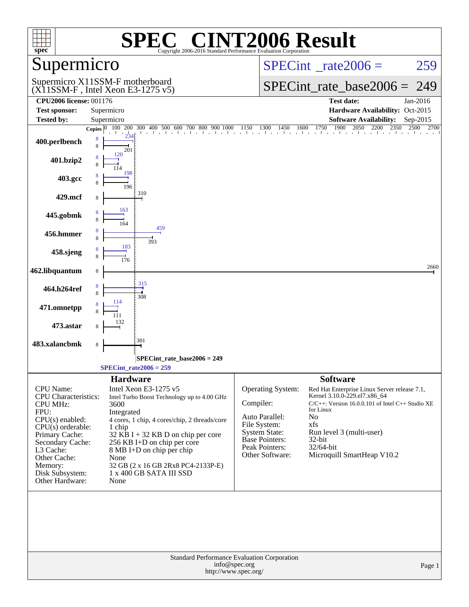| $spec^*$                                                    | <b>SPEC<sup>®</sup> CINT2006 Result</b><br>Copyright 2006-2016 Standard Performance Evaluation Corporation |                                                                                                                                                                                                   |
|-------------------------------------------------------------|------------------------------------------------------------------------------------------------------------|---------------------------------------------------------------------------------------------------------------------------------------------------------------------------------------------------|
| Supermicro                                                  |                                                                                                            | $SPECint^{\circ}$ rate $2006 =$<br>259                                                                                                                                                            |
|                                                             | Supermicro X11SSM-F motherboard<br>$(X11SSM-F$ , Intel Xeon E3-1275 v5)                                    | $SPECint_rate\_base2006 =$<br>249                                                                                                                                                                 |
| <b>CPU2006 license: 001176</b>                              |                                                                                                            | <b>Test date:</b><br>Jan-2016                                                                                                                                                                     |
| <b>Test sponsor:</b>                                        | Supermicro                                                                                                 | Hardware Availability: Oct-2015                                                                                                                                                                   |
| <b>Tested by:</b>                                           | Supermicro                                                                                                 | <b>Software Availability:</b><br>Sep-2015                                                                                                                                                         |
|                                                             |                                                                                                            | <b>Copies</b> $\begin{bmatrix} 0 & 100 & 200 & 300 & 400 & 500 & 600 & 700 & 800 & 900 & 1000 & 1150 & 1300 & 1450 & 1600 & 1750 & 1900 & 2050 & 2200 & 2350 & 2500 & 2700 \end{bmatrix}$<br>2700 |
| 400.perlbench                                               | 8<br>8<br>201                                                                                              |                                                                                                                                                                                                   |
| 401.bzip2                                                   | 120<br>8                                                                                                   |                                                                                                                                                                                                   |
| 403.gcc                                                     | 198<br>8<br>196                                                                                            |                                                                                                                                                                                                   |
| 429.mcf                                                     | 310<br>8                                                                                                   |                                                                                                                                                                                                   |
| 445.gobmk                                                   | 163<br>8<br>164                                                                                            |                                                                                                                                                                                                   |
| 456.hmmer                                                   | 459<br>8<br>8<br>393                                                                                       |                                                                                                                                                                                                   |
| 458.sjeng                                                   | 183<br>8<br>176                                                                                            |                                                                                                                                                                                                   |
| 462.libquantum                                              | 8<br>315                                                                                                   | 2660                                                                                                                                                                                              |
| 464.h264ref                                                 | 8<br>8<br>308<br>114                                                                                       |                                                                                                                                                                                                   |
| 471.omnetpp                                                 |                                                                                                            |                                                                                                                                                                                                   |
| 473.astar                                                   | 301                                                                                                        |                                                                                                                                                                                                   |
| 483.xalancbmk                                               | 8                                                                                                          |                                                                                                                                                                                                   |
|                                                             | SPECint_rate_base2006 = 249                                                                                |                                                                                                                                                                                                   |
|                                                             | $SPECint_rate2006 = 259$                                                                                   |                                                                                                                                                                                                   |
|                                                             | <b>Hardware</b>                                                                                            | <b>Software</b>                                                                                                                                                                                   |
| CPU Name:<br><b>CPU</b> Characteristics:<br><b>CPU MHz:</b> | Intel Xeon E3-1275 v5<br>Intel Turbo Boost Technology up to 4.00 GHz<br>3600                               | Operating System:<br>Red Hat Enterprise Linux Server release 7.1,<br>Kernel 3.10.0-229.el7.x86_64<br>Compiler:<br>$C/C++$ : Version 16.0.0.101 of Intel C++ Studio XE<br>for Linux                |
| FPU:<br>$CPU(s)$ enabled:                                   | Integrated<br>4 cores, 1 chip, 4 cores/chip, 2 threads/core                                                | Auto Parallel:<br>No                                                                                                                                                                              |
| $CPU(s)$ orderable:                                         | 1 chip                                                                                                     | File System:<br>xfs                                                                                                                                                                               |
| Primary Cache:                                              | $32$ KB I + 32 KB D on chip per core                                                                       | <b>System State:</b><br>Run level 3 (multi-user)<br>Base Pointers:<br>32-bit                                                                                                                      |
| Secondary Cache:<br>L3 Cache:                               | 256 KB I+D on chip per core<br>8 MB I+D on chip per chip                                                   | Peak Pointers:<br>32/64-bit                                                                                                                                                                       |
| Other Cache:                                                | None                                                                                                       | Microquill SmartHeap V10.2<br>Other Software:                                                                                                                                                     |
| Memory:                                                     | 32 GB (2 x 16 GB 2Rx8 PC4-2133P-E)                                                                         |                                                                                                                                                                                                   |
| Disk Subsystem:<br>Other Hardware:                          | $1$ x $400$ GB SATA III ${\rm SSD}$<br>None                                                                |                                                                                                                                                                                                   |
|                                                             | Standard Performance Evaluation Corporation                                                                |                                                                                                                                                                                                   |
|                                                             | info@spec.org<br>http://www.spec.org/                                                                      | Page 1                                                                                                                                                                                            |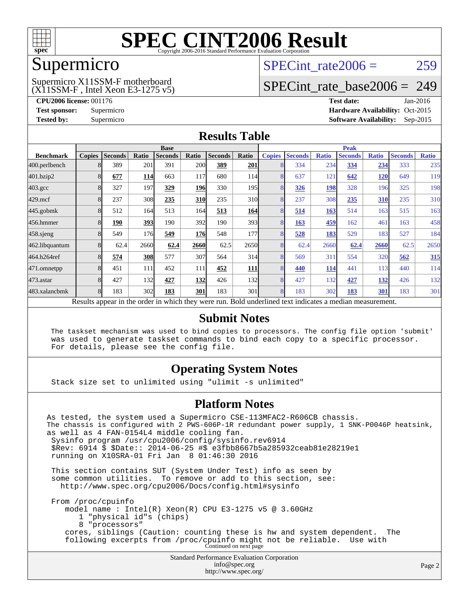

### Supermicro

### (X11SSM-F , Intel Xeon E3-1275 v5) Supermicro X11SSM-F motherboard

SPECint rate $2006 = 259$ 

### [SPECint\\_rate\\_base2006 =](http://www.spec.org/auto/cpu2006/Docs/result-fields.html#SPECintratebase2006) 249

**[CPU2006 license:](http://www.spec.org/auto/cpu2006/Docs/result-fields.html#CPU2006license)** 001176 **[Test date:](http://www.spec.org/auto/cpu2006/Docs/result-fields.html#Testdate)** Jan-2016 **[Test sponsor:](http://www.spec.org/auto/cpu2006/Docs/result-fields.html#Testsponsor)** Supermicro Supermicro **[Hardware Availability:](http://www.spec.org/auto/cpu2006/Docs/result-fields.html#HardwareAvailability)** Oct-2015 **[Tested by:](http://www.spec.org/auto/cpu2006/Docs/result-fields.html#Testedby)** Supermicro **Supermicro [Software Availability:](http://www.spec.org/auto/cpu2006/Docs/result-fields.html#SoftwareAvailability)** Sep-2015

### **[Results Table](http://www.spec.org/auto/cpu2006/Docs/result-fields.html#ResultsTable)**

|                                                                                                          | <b>Base</b>   |                |            |                |            |                | <b>Peak</b>      |               |                |              |                |              |                |              |
|----------------------------------------------------------------------------------------------------------|---------------|----------------|------------|----------------|------------|----------------|------------------|---------------|----------------|--------------|----------------|--------------|----------------|--------------|
| <b>Benchmark</b>                                                                                         | <b>Copies</b> | <b>Seconds</b> | Ratio      | <b>Seconds</b> | Ratio      | <b>Seconds</b> | Ratio            | <b>Copies</b> | <b>Seconds</b> | <b>Ratio</b> | <b>Seconds</b> | <b>Ratio</b> | <b>Seconds</b> | <b>Ratio</b> |
| 400.perlbench                                                                                            |               | 389            | 201        | 391            | 200        | 389            | 201              | 8             | 334            | 234          | 334            | 234          | 333            | 235          |
| 401.bzip2                                                                                                |               | 677            | <b>114</b> | 663            | 117        | 680            | 114              | 8             | 637            | 121          | 642            | 120          | 649            | 119          |
| $403.\mathrm{gcc}$                                                                                       |               | 327            | 197        | 329            | 196        | 330            | 195 <sub>l</sub> | 8             | 326            | 198          | 328            | 196          | 325            | 198          |
| $429$ .mcf                                                                                               |               | 237            | 308        | 235            | <b>310</b> | 235            | 310              | 8             | 237            | 308          | 235            | 310          | 235            | 310          |
| $445$ .gobm $k$                                                                                          |               | 512            | 164        | 513            | 164        | 513            | 164              | 8             | 514            | 163          | 514            | 163          | 515            | 163          |
| 456.hmmer                                                                                                |               | 190            | <u>393</u> | 190            | 392        | 190            | 393 <sup>I</sup> | 8             | 163            | 459          | 162            | 461          | 163            | 458          |
| $458$ .sjeng                                                                                             |               | 549            | 176        | 549            | <b>176</b> | 548            | 177              | 8             | 528            | 183          | 529            | 183          | 527            | 184          |
| 462.libquantum                                                                                           |               | 62.4           | 2660       | 62.4           | 2660       | 62.5           | 2650             | 8             | 62.4           | 2660         | 62.4           | 2660         | 62.5           | 2650         |
| 464.h264ref                                                                                              |               | 574            | <b>308</b> | 577            | 307        | 564            | 314              | 8             | 569            | 311          | 554            | 320          | 562            | 315          |
| 471.omnetpp                                                                                              |               | 451            | 111        | 452            | 111        | 452            | 111              | 8             | 440            | 114          | 441            | 113          | 440            | 114          |
| $473$ . astar                                                                                            |               | 427            | 132        | 427            | 132        | 426            | 132              | 8             | 427            | 132          | 427            | <u>132</u>   | 426            | 132          |
| 483.xalancbmk                                                                                            |               | 183            | 302        | 183            | 301        | 183            | 301              | 8             | 183            | 302          | 183            | 301          | 183            | 301          |
| Results appear in the order in which they were run. Bold underlined text indicates a median measurement. |               |                |            |                |            |                |                  |               |                |              |                |              |                |              |

### **[Submit Notes](http://www.spec.org/auto/cpu2006/Docs/result-fields.html#SubmitNotes)**

 The taskset mechanism was used to bind copies to processors. The config file option 'submit' was used to generate taskset commands to bind each copy to a specific processor. For details, please see the config file.

### **[Operating System Notes](http://www.spec.org/auto/cpu2006/Docs/result-fields.html#OperatingSystemNotes)**

Stack size set to unlimited using "ulimit -s unlimited"

### **[Platform Notes](http://www.spec.org/auto/cpu2006/Docs/result-fields.html#PlatformNotes)**

Standard Performance Evaluation Corporation [info@spec.org](mailto:info@spec.org) As tested, the system used a Supermicro CSE-113MFAC2-R606CB chassis. The chassis is configured with 2 PWS-606P-1R redundant power supply, 1 SNK-P0046P heatsink, as well as 4 FAN-0154L4 middle cooling fan. Sysinfo program /usr/cpu2006/config/sysinfo.rev6914 \$Rev: 6914 \$ \$Date:: 2014-06-25 #\$ e3fbb8667b5a285932ceab81e28219e1 running on X10SRA-01 Fri Jan 8 01:46:30 2016 This section contains SUT (System Under Test) info as seen by some common utilities. To remove or add to this section, see: <http://www.spec.org/cpu2006/Docs/config.html#sysinfo> From /proc/cpuinfo model name : Intel(R) Xeon(R) CPU E3-1275 v5 @ 3.60GHz 1 "physical id"s (chips) 8 "processors" cores, siblings (Caution: counting these is hw and system dependent. The following excerpts from /proc/cpuinfo might not be reliable. Use with Continued on next page

<http://www.spec.org/>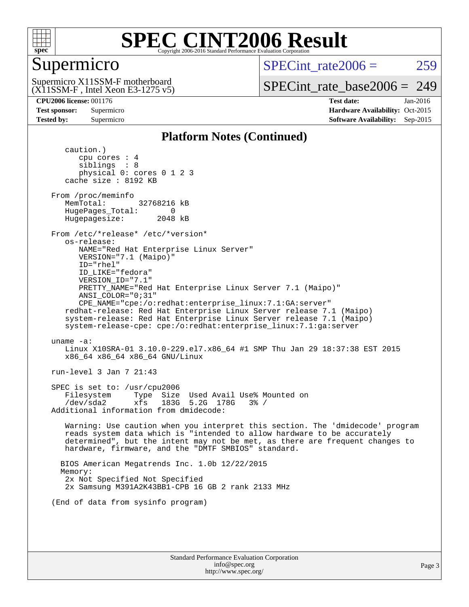

### Supermicro

SPECint rate $2006 = 259$ 

(X11SSM-F , Intel Xeon E3-1275 v5) Supermicro X11SSM-F motherboard

[SPECint\\_rate\\_base2006 =](http://www.spec.org/auto/cpu2006/Docs/result-fields.html#SPECintratebase2006) 249

**[CPU2006 license:](http://www.spec.org/auto/cpu2006/Docs/result-fields.html#CPU2006license)** 001176 **[Test date:](http://www.spec.org/auto/cpu2006/Docs/result-fields.html#Testdate)** Jan-2016 **[Test sponsor:](http://www.spec.org/auto/cpu2006/Docs/result-fields.html#Testsponsor)** Supermicro Supermicro **[Hardware Availability:](http://www.spec.org/auto/cpu2006/Docs/result-fields.html#HardwareAvailability)** Oct-2015 **[Tested by:](http://www.spec.org/auto/cpu2006/Docs/result-fields.html#Testedby)** Supermicro **Supermicro [Software Availability:](http://www.spec.org/auto/cpu2006/Docs/result-fields.html#SoftwareAvailability)** Sep-2015

### **[Platform Notes \(Continued\)](http://www.spec.org/auto/cpu2006/Docs/result-fields.html#PlatformNotes)**

 caution.) cpu cores : 4 siblings : 8 physical 0: cores 0 1 2 3 cache size : 8192 KB From /proc/meminfo MemTotal: 32768216 kB HugePages\_Total: 0<br>Hugepagesize: 2048 kB Hugepagesize: From /etc/\*release\* /etc/\*version\* os-release: NAME="Red Hat Enterprise Linux Server" VERSION="7.1 (Maipo)" ID="rhel" ID\_LIKE="fedora" VERSION\_ID="7.1" PRETTY\_NAME="Red Hat Enterprise Linux Server 7.1 (Maipo)" ANSI\_COLOR="0;31" CPE\_NAME="cpe:/o:redhat:enterprise\_linux:7.1:GA:server" redhat-release: Red Hat Enterprise Linux Server release 7.1 (Maipo) system-release: Red Hat Enterprise Linux Server release 7.1 (Maipo) system-release-cpe: cpe:/o:redhat:enterprise\_linux:7.1:ga:server uname -a: Linux X10SRA-01 3.10.0-229.el7.x86\_64 #1 SMP Thu Jan 29 18:37:38 EST 2015 x86\_64 x86\_64 x86\_64 GNU/Linux run-level 3 Jan 7 21:43 SPEC is set to: /usr/cpu2006 Filesystem Type Size Used Avail Use% Mounted on /dev/sda2 xfs 183G 5.2G 178G 3% / Additional information from dmidecode: Warning: Use caution when you interpret this section. The 'dmidecode' program reads system data which is "intended to allow hardware to be accurately determined", but the intent may not be met, as there are frequent changes to hardware, firmware, and the "DMTF SMBIOS" standard. BIOS American Megatrends Inc. 1.0b 12/22/2015 Memory: 2x Not Specified Not Specified 2x Samsung M391A2K43BB1-CPB 16 GB 2 rank 2133 MHz (End of data from sysinfo program)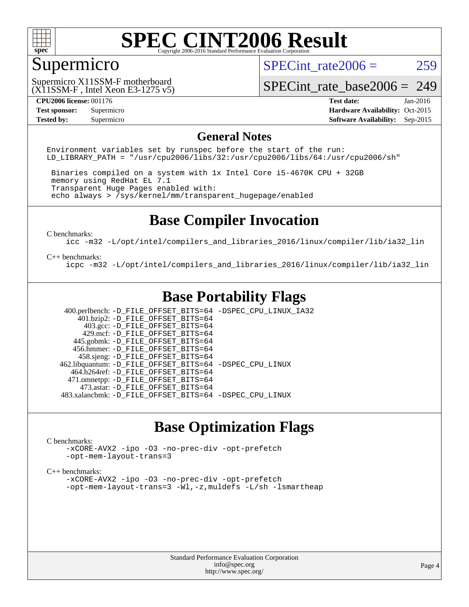

### Supermicro

SPECint rate $2006 = 259$ 

(X11SSM-F , Intel Xeon E3-1275 v5) Supermicro X11SSM-F motherboard

[SPECint\\_rate\\_base2006 =](http://www.spec.org/auto/cpu2006/Docs/result-fields.html#SPECintratebase2006) 249

**[Tested by:](http://www.spec.org/auto/cpu2006/Docs/result-fields.html#Testedby)** Supermicro **Supermicro [Software Availability:](http://www.spec.org/auto/cpu2006/Docs/result-fields.html#SoftwareAvailability)** Sep-2015

**[CPU2006 license:](http://www.spec.org/auto/cpu2006/Docs/result-fields.html#CPU2006license)** 001176 **[Test date:](http://www.spec.org/auto/cpu2006/Docs/result-fields.html#Testdate)** Jan-2016 **[Test sponsor:](http://www.spec.org/auto/cpu2006/Docs/result-fields.html#Testsponsor)** Supermicro Supermicro **[Hardware Availability:](http://www.spec.org/auto/cpu2006/Docs/result-fields.html#HardwareAvailability)** Oct-2015

### **[General Notes](http://www.spec.org/auto/cpu2006/Docs/result-fields.html#GeneralNotes)**

Environment variables set by runspec before the start of the run: LD LIBRARY PATH = "/usr/cpu2006/libs/32:/usr/cpu2006/libs/64:/usr/cpu2006/sh"

 Binaries compiled on a system with 1x Intel Core i5-4670K CPU + 32GB memory using RedHat EL 7.1 Transparent Huge Pages enabled with: echo always > /sys/kernel/mm/transparent\_hugepage/enabled

### **[Base Compiler Invocation](http://www.spec.org/auto/cpu2006/Docs/result-fields.html#BaseCompilerInvocation)**

[C benchmarks](http://www.spec.org/auto/cpu2006/Docs/result-fields.html#Cbenchmarks):

[icc -m32 -L/opt/intel/compilers\\_and\\_libraries\\_2016/linux/compiler/lib/ia32\\_lin](http://www.spec.org/cpu2006/results/res2016q1/cpu2006-20160111-38653.flags.html#user_CCbase_intel_icc_e10256ba5924b668798078a321b0cb3f)

#### [C++ benchmarks:](http://www.spec.org/auto/cpu2006/Docs/result-fields.html#CXXbenchmarks)

[icpc -m32 -L/opt/intel/compilers\\_and\\_libraries\\_2016/linux/compiler/lib/ia32\\_lin](http://www.spec.org/cpu2006/results/res2016q1/cpu2006-20160111-38653.flags.html#user_CXXbase_intel_icpc_b4f50a394bdb4597aa5879c16bc3f5c5)

### **[Base Portability Flags](http://www.spec.org/auto/cpu2006/Docs/result-fields.html#BasePortabilityFlags)**

 400.perlbench: [-D\\_FILE\\_OFFSET\\_BITS=64](http://www.spec.org/cpu2006/results/res2016q1/cpu2006-20160111-38653.flags.html#user_basePORTABILITY400_perlbench_file_offset_bits_64_438cf9856305ebd76870a2c6dc2689ab) [-DSPEC\\_CPU\\_LINUX\\_IA32](http://www.spec.org/cpu2006/results/res2016q1/cpu2006-20160111-38653.flags.html#b400.perlbench_baseCPORTABILITY_DSPEC_CPU_LINUX_IA32)  $401.bzip2: -D$ FILE\_OFFSET\_BITS=64 403.gcc: [-D\\_FILE\\_OFFSET\\_BITS=64](http://www.spec.org/cpu2006/results/res2016q1/cpu2006-20160111-38653.flags.html#user_basePORTABILITY403_gcc_file_offset_bits_64_438cf9856305ebd76870a2c6dc2689ab) 429.mcf: [-D\\_FILE\\_OFFSET\\_BITS=64](http://www.spec.org/cpu2006/results/res2016q1/cpu2006-20160111-38653.flags.html#user_basePORTABILITY429_mcf_file_offset_bits_64_438cf9856305ebd76870a2c6dc2689ab) 445.gobmk: [-D\\_FILE\\_OFFSET\\_BITS=64](http://www.spec.org/cpu2006/results/res2016q1/cpu2006-20160111-38653.flags.html#user_basePORTABILITY445_gobmk_file_offset_bits_64_438cf9856305ebd76870a2c6dc2689ab) 456.hmmer: [-D\\_FILE\\_OFFSET\\_BITS=64](http://www.spec.org/cpu2006/results/res2016q1/cpu2006-20160111-38653.flags.html#user_basePORTABILITY456_hmmer_file_offset_bits_64_438cf9856305ebd76870a2c6dc2689ab) 458.sjeng: [-D\\_FILE\\_OFFSET\\_BITS=64](http://www.spec.org/cpu2006/results/res2016q1/cpu2006-20160111-38653.flags.html#user_basePORTABILITY458_sjeng_file_offset_bits_64_438cf9856305ebd76870a2c6dc2689ab) 462.libquantum: [-D\\_FILE\\_OFFSET\\_BITS=64](http://www.spec.org/cpu2006/results/res2016q1/cpu2006-20160111-38653.flags.html#user_basePORTABILITY462_libquantum_file_offset_bits_64_438cf9856305ebd76870a2c6dc2689ab) [-DSPEC\\_CPU\\_LINUX](http://www.spec.org/cpu2006/results/res2016q1/cpu2006-20160111-38653.flags.html#b462.libquantum_baseCPORTABILITY_DSPEC_CPU_LINUX) 464.h264ref: [-D\\_FILE\\_OFFSET\\_BITS=64](http://www.spec.org/cpu2006/results/res2016q1/cpu2006-20160111-38653.flags.html#user_basePORTABILITY464_h264ref_file_offset_bits_64_438cf9856305ebd76870a2c6dc2689ab) 471.omnetpp: [-D\\_FILE\\_OFFSET\\_BITS=64](http://www.spec.org/cpu2006/results/res2016q1/cpu2006-20160111-38653.flags.html#user_basePORTABILITY471_omnetpp_file_offset_bits_64_438cf9856305ebd76870a2c6dc2689ab) 473.astar: [-D\\_FILE\\_OFFSET\\_BITS=64](http://www.spec.org/cpu2006/results/res2016q1/cpu2006-20160111-38653.flags.html#user_basePORTABILITY473_astar_file_offset_bits_64_438cf9856305ebd76870a2c6dc2689ab) 483.xalancbmk: [-D\\_FILE\\_OFFSET\\_BITS=64](http://www.spec.org/cpu2006/results/res2016q1/cpu2006-20160111-38653.flags.html#user_basePORTABILITY483_xalancbmk_file_offset_bits_64_438cf9856305ebd76870a2c6dc2689ab) [-DSPEC\\_CPU\\_LINUX](http://www.spec.org/cpu2006/results/res2016q1/cpu2006-20160111-38653.flags.html#b483.xalancbmk_baseCXXPORTABILITY_DSPEC_CPU_LINUX)

### **[Base Optimization Flags](http://www.spec.org/auto/cpu2006/Docs/result-fields.html#BaseOptimizationFlags)**

#### [C benchmarks](http://www.spec.org/auto/cpu2006/Docs/result-fields.html#Cbenchmarks):

[-xCORE-AVX2](http://www.spec.org/cpu2006/results/res2016q1/cpu2006-20160111-38653.flags.html#user_CCbase_f-xAVX2_5f5fc0cbe2c9f62c816d3e45806c70d7) [-ipo](http://www.spec.org/cpu2006/results/res2016q1/cpu2006-20160111-38653.flags.html#user_CCbase_f-ipo) [-O3](http://www.spec.org/cpu2006/results/res2016q1/cpu2006-20160111-38653.flags.html#user_CCbase_f-O3) [-no-prec-div](http://www.spec.org/cpu2006/results/res2016q1/cpu2006-20160111-38653.flags.html#user_CCbase_f-no-prec-div) [-opt-prefetch](http://www.spec.org/cpu2006/results/res2016q1/cpu2006-20160111-38653.flags.html#user_CCbase_f-opt-prefetch) [-opt-mem-layout-trans=3](http://www.spec.org/cpu2006/results/res2016q1/cpu2006-20160111-38653.flags.html#user_CCbase_f-opt-mem-layout-trans_a7b82ad4bd7abf52556d4961a2ae94d5)

#### [C++ benchmarks:](http://www.spec.org/auto/cpu2006/Docs/result-fields.html#CXXbenchmarks)

[-xCORE-AVX2](http://www.spec.org/cpu2006/results/res2016q1/cpu2006-20160111-38653.flags.html#user_CXXbase_f-xAVX2_5f5fc0cbe2c9f62c816d3e45806c70d7) [-ipo](http://www.spec.org/cpu2006/results/res2016q1/cpu2006-20160111-38653.flags.html#user_CXXbase_f-ipo) [-O3](http://www.spec.org/cpu2006/results/res2016q1/cpu2006-20160111-38653.flags.html#user_CXXbase_f-O3) [-no-prec-div](http://www.spec.org/cpu2006/results/res2016q1/cpu2006-20160111-38653.flags.html#user_CXXbase_f-no-prec-div) [-opt-prefetch](http://www.spec.org/cpu2006/results/res2016q1/cpu2006-20160111-38653.flags.html#user_CXXbase_f-opt-prefetch) [-opt-mem-layout-trans=3](http://www.spec.org/cpu2006/results/res2016q1/cpu2006-20160111-38653.flags.html#user_CXXbase_f-opt-mem-layout-trans_a7b82ad4bd7abf52556d4961a2ae94d5) [-Wl,-z,muldefs](http://www.spec.org/cpu2006/results/res2016q1/cpu2006-20160111-38653.flags.html#user_CXXbase_link_force_multiple1_74079c344b956b9658436fd1b6dd3a8a) [-L/sh -lsmartheap](http://www.spec.org/cpu2006/results/res2016q1/cpu2006-20160111-38653.flags.html#user_CXXbase_SmartHeap_32f6c82aa1ed9c52345d30cf6e4a0499)

> Standard Performance Evaluation Corporation [info@spec.org](mailto:info@spec.org) <http://www.spec.org/>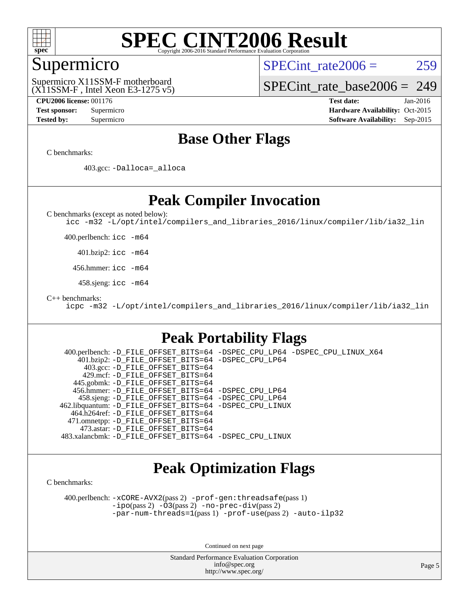

### Supermicro

SPECint rate $2006 = 259$ 

(X11SSM-F , Intel Xeon E3-1275 v5) Supermicro X11SSM-F motherboard

[SPECint\\_rate\\_base2006 =](http://www.spec.org/auto/cpu2006/Docs/result-fields.html#SPECintratebase2006) 249

**[CPU2006 license:](http://www.spec.org/auto/cpu2006/Docs/result-fields.html#CPU2006license)** 001176 **[Test date:](http://www.spec.org/auto/cpu2006/Docs/result-fields.html#Testdate)** Jan-2016

**[Test sponsor:](http://www.spec.org/auto/cpu2006/Docs/result-fields.html#Testsponsor)** Supermicro Supermicro **[Hardware Availability:](http://www.spec.org/auto/cpu2006/Docs/result-fields.html#HardwareAvailability)** Oct-2015 **[Tested by:](http://www.spec.org/auto/cpu2006/Docs/result-fields.html#Testedby)** Supermicro **Supermicro [Software Availability:](http://www.spec.org/auto/cpu2006/Docs/result-fields.html#SoftwareAvailability)** Sep-2015

### **[Base Other Flags](http://www.spec.org/auto/cpu2006/Docs/result-fields.html#BaseOtherFlags)**

[C benchmarks](http://www.spec.org/auto/cpu2006/Docs/result-fields.html#Cbenchmarks):

403.gcc: [-Dalloca=\\_alloca](http://www.spec.org/cpu2006/results/res2016q1/cpu2006-20160111-38653.flags.html#b403.gcc_baseEXTRA_CFLAGS_Dalloca_be3056838c12de2578596ca5467af7f3)

### **[Peak Compiler Invocation](http://www.spec.org/auto/cpu2006/Docs/result-fields.html#PeakCompilerInvocation)**

[C benchmarks \(except as noted below\)](http://www.spec.org/auto/cpu2006/Docs/result-fields.html#Cbenchmarksexceptasnotedbelow):

[icc -m32 -L/opt/intel/compilers\\_and\\_libraries\\_2016/linux/compiler/lib/ia32\\_lin](http://www.spec.org/cpu2006/results/res2016q1/cpu2006-20160111-38653.flags.html#user_CCpeak_intel_icc_e10256ba5924b668798078a321b0cb3f)

400.perlbench: [icc -m64](http://www.spec.org/cpu2006/results/res2016q1/cpu2006-20160111-38653.flags.html#user_peakCCLD400_perlbench_intel_icc_64bit_bda6cc9af1fdbb0edc3795bac97ada53)

401.bzip2: [icc -m64](http://www.spec.org/cpu2006/results/res2016q1/cpu2006-20160111-38653.flags.html#user_peakCCLD401_bzip2_intel_icc_64bit_bda6cc9af1fdbb0edc3795bac97ada53)

456.hmmer: [icc -m64](http://www.spec.org/cpu2006/results/res2016q1/cpu2006-20160111-38653.flags.html#user_peakCCLD456_hmmer_intel_icc_64bit_bda6cc9af1fdbb0edc3795bac97ada53)

458.sjeng: [icc -m64](http://www.spec.org/cpu2006/results/res2016q1/cpu2006-20160111-38653.flags.html#user_peakCCLD458_sjeng_intel_icc_64bit_bda6cc9af1fdbb0edc3795bac97ada53)

[C++ benchmarks:](http://www.spec.org/auto/cpu2006/Docs/result-fields.html#CXXbenchmarks)

[icpc -m32 -L/opt/intel/compilers\\_and\\_libraries\\_2016/linux/compiler/lib/ia32\\_lin](http://www.spec.org/cpu2006/results/res2016q1/cpu2006-20160111-38653.flags.html#user_CXXpeak_intel_icpc_b4f50a394bdb4597aa5879c16bc3f5c5)

### **[Peak Portability Flags](http://www.spec.org/auto/cpu2006/Docs/result-fields.html#PeakPortabilityFlags)**

 400.perlbench: [-D\\_FILE\\_OFFSET\\_BITS=64](http://www.spec.org/cpu2006/results/res2016q1/cpu2006-20160111-38653.flags.html#user_peakPORTABILITY400_perlbench_file_offset_bits_64_438cf9856305ebd76870a2c6dc2689ab) [-DSPEC\\_CPU\\_LP64](http://www.spec.org/cpu2006/results/res2016q1/cpu2006-20160111-38653.flags.html#b400.perlbench_peakCPORTABILITY_DSPEC_CPU_LP64) [-DSPEC\\_CPU\\_LINUX\\_X64](http://www.spec.org/cpu2006/results/res2016q1/cpu2006-20160111-38653.flags.html#b400.perlbench_peakCPORTABILITY_DSPEC_CPU_LINUX_X64) 401.bzip2: [-D\\_FILE\\_OFFSET\\_BITS=64](http://www.spec.org/cpu2006/results/res2016q1/cpu2006-20160111-38653.flags.html#user_peakPORTABILITY401_bzip2_file_offset_bits_64_438cf9856305ebd76870a2c6dc2689ab) [-DSPEC\\_CPU\\_LP64](http://www.spec.org/cpu2006/results/res2016q1/cpu2006-20160111-38653.flags.html#suite_peakCPORTABILITY401_bzip2_DSPEC_CPU_LP64) 403.gcc: [-D\\_FILE\\_OFFSET\\_BITS=64](http://www.spec.org/cpu2006/results/res2016q1/cpu2006-20160111-38653.flags.html#user_peakPORTABILITY403_gcc_file_offset_bits_64_438cf9856305ebd76870a2c6dc2689ab) 429.mcf: [-D\\_FILE\\_OFFSET\\_BITS=64](http://www.spec.org/cpu2006/results/res2016q1/cpu2006-20160111-38653.flags.html#user_peakPORTABILITY429_mcf_file_offset_bits_64_438cf9856305ebd76870a2c6dc2689ab) 445.gobmk: [-D\\_FILE\\_OFFSET\\_BITS=64](http://www.spec.org/cpu2006/results/res2016q1/cpu2006-20160111-38653.flags.html#user_peakPORTABILITY445_gobmk_file_offset_bits_64_438cf9856305ebd76870a2c6dc2689ab) 456.hmmer: [-D\\_FILE\\_OFFSET\\_BITS=64](http://www.spec.org/cpu2006/results/res2016q1/cpu2006-20160111-38653.flags.html#user_peakPORTABILITY456_hmmer_file_offset_bits_64_438cf9856305ebd76870a2c6dc2689ab) [-DSPEC\\_CPU\\_LP64](http://www.spec.org/cpu2006/results/res2016q1/cpu2006-20160111-38653.flags.html#suite_peakCPORTABILITY456_hmmer_DSPEC_CPU_LP64) 458.sjeng: [-D\\_FILE\\_OFFSET\\_BITS=64](http://www.spec.org/cpu2006/results/res2016q1/cpu2006-20160111-38653.flags.html#user_peakPORTABILITY458_sjeng_file_offset_bits_64_438cf9856305ebd76870a2c6dc2689ab) [-DSPEC\\_CPU\\_LP64](http://www.spec.org/cpu2006/results/res2016q1/cpu2006-20160111-38653.flags.html#suite_peakCPORTABILITY458_sjeng_DSPEC_CPU_LP64) 462.libquantum: [-D\\_FILE\\_OFFSET\\_BITS=64](http://www.spec.org/cpu2006/results/res2016q1/cpu2006-20160111-38653.flags.html#user_peakPORTABILITY462_libquantum_file_offset_bits_64_438cf9856305ebd76870a2c6dc2689ab) [-DSPEC\\_CPU\\_LINUX](http://www.spec.org/cpu2006/results/res2016q1/cpu2006-20160111-38653.flags.html#b462.libquantum_peakCPORTABILITY_DSPEC_CPU_LINUX) 464.h264ref: [-D\\_FILE\\_OFFSET\\_BITS=64](http://www.spec.org/cpu2006/results/res2016q1/cpu2006-20160111-38653.flags.html#user_peakPORTABILITY464_h264ref_file_offset_bits_64_438cf9856305ebd76870a2c6dc2689ab) 471.omnetpp: [-D\\_FILE\\_OFFSET\\_BITS=64](http://www.spec.org/cpu2006/results/res2016q1/cpu2006-20160111-38653.flags.html#user_peakPORTABILITY471_omnetpp_file_offset_bits_64_438cf9856305ebd76870a2c6dc2689ab) 473.astar: [-D\\_FILE\\_OFFSET\\_BITS=64](http://www.spec.org/cpu2006/results/res2016q1/cpu2006-20160111-38653.flags.html#user_peakPORTABILITY473_astar_file_offset_bits_64_438cf9856305ebd76870a2c6dc2689ab) 483.xalancbmk: [-D\\_FILE\\_OFFSET\\_BITS=64](http://www.spec.org/cpu2006/results/res2016q1/cpu2006-20160111-38653.flags.html#user_peakPORTABILITY483_xalancbmk_file_offset_bits_64_438cf9856305ebd76870a2c6dc2689ab) [-DSPEC\\_CPU\\_LINUX](http://www.spec.org/cpu2006/results/res2016q1/cpu2006-20160111-38653.flags.html#b483.xalancbmk_peakCXXPORTABILITY_DSPEC_CPU_LINUX)

### **[Peak Optimization Flags](http://www.spec.org/auto/cpu2006/Docs/result-fields.html#PeakOptimizationFlags)**

[C benchmarks](http://www.spec.org/auto/cpu2006/Docs/result-fields.html#Cbenchmarks):

 400.perlbench: [-xCORE-AVX2](http://www.spec.org/cpu2006/results/res2016q1/cpu2006-20160111-38653.flags.html#user_peakPASS2_CFLAGSPASS2_LDCFLAGS400_perlbench_f-xAVX2_5f5fc0cbe2c9f62c816d3e45806c70d7)(pass 2) [-prof-gen:threadsafe](http://www.spec.org/cpu2006/results/res2016q1/cpu2006-20160111-38653.flags.html#user_peakPASS1_CFLAGSPASS1_LDCFLAGS400_perlbench_prof_gen_21a26eb79f378b550acd7bec9fe4467a)(pass 1) [-ipo](http://www.spec.org/cpu2006/results/res2016q1/cpu2006-20160111-38653.flags.html#user_peakPASS2_CFLAGSPASS2_LDCFLAGS400_perlbench_f-ipo)(pass 2) [-O3](http://www.spec.org/cpu2006/results/res2016q1/cpu2006-20160111-38653.flags.html#user_peakPASS2_CFLAGSPASS2_LDCFLAGS400_perlbench_f-O3)(pass 2) [-no-prec-div](http://www.spec.org/cpu2006/results/res2016q1/cpu2006-20160111-38653.flags.html#user_peakPASS2_CFLAGSPASS2_LDCFLAGS400_perlbench_f-no-prec-div)(pass 2) [-par-num-threads=1](http://www.spec.org/cpu2006/results/res2016q1/cpu2006-20160111-38653.flags.html#user_peakPASS1_CFLAGSPASS1_LDCFLAGS400_perlbench_par_num_threads_786a6ff141b4e9e90432e998842df6c2)(pass 1) [-prof-use](http://www.spec.org/cpu2006/results/res2016q1/cpu2006-20160111-38653.flags.html#user_peakPASS2_CFLAGSPASS2_LDCFLAGS400_perlbench_prof_use_bccf7792157ff70d64e32fe3e1250b55)(pass 2) [-auto-ilp32](http://www.spec.org/cpu2006/results/res2016q1/cpu2006-20160111-38653.flags.html#user_peakCOPTIMIZE400_perlbench_f-auto-ilp32)

Continued on next page

Standard Performance Evaluation Corporation [info@spec.org](mailto:info@spec.org) <http://www.spec.org/>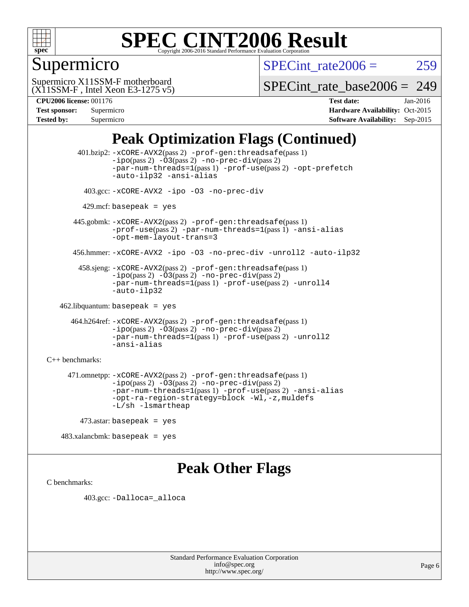

### Supermicro

SPECint rate $2006 = 259$ 

(X11SSM-F , Intel Xeon E3-1275 v5) Supermicro X11SSM-F motherboard

[SPECint\\_rate\\_base2006 =](http://www.spec.org/auto/cpu2006/Docs/result-fields.html#SPECintratebase2006) 249

| <b>Test sponsor:</b> | Supermicro |
|----------------------|------------|
| <b>Tested by:</b>    | Supermicro |

**[CPU2006 license:](http://www.spec.org/auto/cpu2006/Docs/result-fields.html#CPU2006license)** 001176 **[Test date:](http://www.spec.org/auto/cpu2006/Docs/result-fields.html#Testdate)** Jan-2016 **[Hardware Availability:](http://www.spec.org/auto/cpu2006/Docs/result-fields.html#HardwareAvailability)** Oct-2015 **[Software Availability:](http://www.spec.org/auto/cpu2006/Docs/result-fields.html#SoftwareAvailability)** Sep-2015

### **[Peak Optimization Flags \(Continued\)](http://www.spec.org/auto/cpu2006/Docs/result-fields.html#PeakOptimizationFlags)**

 401.bzip2: [-xCORE-AVX2](http://www.spec.org/cpu2006/results/res2016q1/cpu2006-20160111-38653.flags.html#user_peakPASS2_CFLAGSPASS2_LDCFLAGS401_bzip2_f-xAVX2_5f5fc0cbe2c9f62c816d3e45806c70d7)(pass 2) [-prof-gen:threadsafe](http://www.spec.org/cpu2006/results/res2016q1/cpu2006-20160111-38653.flags.html#user_peakPASS1_CFLAGSPASS1_LDCFLAGS401_bzip2_prof_gen_21a26eb79f378b550acd7bec9fe4467a)(pass 1)  $-i\text{po}(pass 2) -03(pass 2) -no-prec-div(pass 2)$  $-i\text{po}(pass 2) -03(pass 2) -no-prec-div(pass 2)$  $-i\text{po}(pass 2) -03(pass 2) -no-prec-div(pass 2)$ [-par-num-threads=1](http://www.spec.org/cpu2006/results/res2016q1/cpu2006-20160111-38653.flags.html#user_peakPASS1_CFLAGSPASS1_LDCFLAGS401_bzip2_par_num_threads_786a6ff141b4e9e90432e998842df6c2)(pass 1) [-prof-use](http://www.spec.org/cpu2006/results/res2016q1/cpu2006-20160111-38653.flags.html#user_peakPASS2_CFLAGSPASS2_LDCFLAGS401_bzip2_prof_use_bccf7792157ff70d64e32fe3e1250b55)(pass 2) [-opt-prefetch](http://www.spec.org/cpu2006/results/res2016q1/cpu2006-20160111-38653.flags.html#user_peakCOPTIMIZE401_bzip2_f-opt-prefetch) [-auto-ilp32](http://www.spec.org/cpu2006/results/res2016q1/cpu2006-20160111-38653.flags.html#user_peakCOPTIMIZE401_bzip2_f-auto-ilp32) [-ansi-alias](http://www.spec.org/cpu2006/results/res2016q1/cpu2006-20160111-38653.flags.html#user_peakCOPTIMIZE401_bzip2_f-ansi-alias) 403.gcc: [-xCORE-AVX2](http://www.spec.org/cpu2006/results/res2016q1/cpu2006-20160111-38653.flags.html#user_peakCOPTIMIZE403_gcc_f-xAVX2_5f5fc0cbe2c9f62c816d3e45806c70d7) [-ipo](http://www.spec.org/cpu2006/results/res2016q1/cpu2006-20160111-38653.flags.html#user_peakCOPTIMIZE403_gcc_f-ipo) [-O3](http://www.spec.org/cpu2006/results/res2016q1/cpu2006-20160111-38653.flags.html#user_peakCOPTIMIZE403_gcc_f-O3) [-no-prec-div](http://www.spec.org/cpu2006/results/res2016q1/cpu2006-20160111-38653.flags.html#user_peakCOPTIMIZE403_gcc_f-no-prec-div)  $429$ .mcf: basepeak = yes 445.gobmk: [-xCORE-AVX2](http://www.spec.org/cpu2006/results/res2016q1/cpu2006-20160111-38653.flags.html#user_peakPASS2_CFLAGSPASS2_LDCFLAGS445_gobmk_f-xAVX2_5f5fc0cbe2c9f62c816d3e45806c70d7)(pass 2) [-prof-gen:threadsafe](http://www.spec.org/cpu2006/results/res2016q1/cpu2006-20160111-38653.flags.html#user_peakPASS1_CFLAGSPASS1_LDCFLAGS445_gobmk_prof_gen_21a26eb79f378b550acd7bec9fe4467a)(pass 1) [-prof-use](http://www.spec.org/cpu2006/results/res2016q1/cpu2006-20160111-38653.flags.html#user_peakPASS2_CFLAGSPASS2_LDCFLAGS445_gobmk_prof_use_bccf7792157ff70d64e32fe3e1250b55)(pass 2) [-par-num-threads=1](http://www.spec.org/cpu2006/results/res2016q1/cpu2006-20160111-38653.flags.html#user_peakPASS1_CFLAGSPASS1_LDCFLAGS445_gobmk_par_num_threads_786a6ff141b4e9e90432e998842df6c2)(pass 1) [-ansi-alias](http://www.spec.org/cpu2006/results/res2016q1/cpu2006-20160111-38653.flags.html#user_peakCOPTIMIZE445_gobmk_f-ansi-alias) [-opt-mem-layout-trans=3](http://www.spec.org/cpu2006/results/res2016q1/cpu2006-20160111-38653.flags.html#user_peakCOPTIMIZE445_gobmk_f-opt-mem-layout-trans_a7b82ad4bd7abf52556d4961a2ae94d5) 456.hmmer: [-xCORE-AVX2](http://www.spec.org/cpu2006/results/res2016q1/cpu2006-20160111-38653.flags.html#user_peakCOPTIMIZE456_hmmer_f-xAVX2_5f5fc0cbe2c9f62c816d3e45806c70d7) [-ipo](http://www.spec.org/cpu2006/results/res2016q1/cpu2006-20160111-38653.flags.html#user_peakCOPTIMIZE456_hmmer_f-ipo) [-O3](http://www.spec.org/cpu2006/results/res2016q1/cpu2006-20160111-38653.flags.html#user_peakCOPTIMIZE456_hmmer_f-O3) [-no-prec-div](http://www.spec.org/cpu2006/results/res2016q1/cpu2006-20160111-38653.flags.html#user_peakCOPTIMIZE456_hmmer_f-no-prec-div) [-unroll2](http://www.spec.org/cpu2006/results/res2016q1/cpu2006-20160111-38653.flags.html#user_peakCOPTIMIZE456_hmmer_f-unroll_784dae83bebfb236979b41d2422d7ec2) [-auto-ilp32](http://www.spec.org/cpu2006/results/res2016q1/cpu2006-20160111-38653.flags.html#user_peakCOPTIMIZE456_hmmer_f-auto-ilp32) 458.sjeng: [-xCORE-AVX2](http://www.spec.org/cpu2006/results/res2016q1/cpu2006-20160111-38653.flags.html#user_peakPASS2_CFLAGSPASS2_LDCFLAGS458_sjeng_f-xAVX2_5f5fc0cbe2c9f62c816d3e45806c70d7)(pass 2) [-prof-gen:threadsafe](http://www.spec.org/cpu2006/results/res2016q1/cpu2006-20160111-38653.flags.html#user_peakPASS1_CFLAGSPASS1_LDCFLAGS458_sjeng_prof_gen_21a26eb79f378b550acd7bec9fe4467a)(pass 1)  $-i\text{po}(pass 2) -\overline{O}3(pass 2)$  [-no-prec-div](http://www.spec.org/cpu2006/results/res2016q1/cpu2006-20160111-38653.flags.html#user_peakPASS2_CFLAGSPASS2_LDCFLAGS458_sjeng_f-no-prec-div)(pass 2) [-par-num-threads=1](http://www.spec.org/cpu2006/results/res2016q1/cpu2006-20160111-38653.flags.html#user_peakPASS1_CFLAGSPASS1_LDCFLAGS458_sjeng_par_num_threads_786a6ff141b4e9e90432e998842df6c2)(pass 1) [-prof-use](http://www.spec.org/cpu2006/results/res2016q1/cpu2006-20160111-38653.flags.html#user_peakPASS2_CFLAGSPASS2_LDCFLAGS458_sjeng_prof_use_bccf7792157ff70d64e32fe3e1250b55)(pass 2) [-unroll4](http://www.spec.org/cpu2006/results/res2016q1/cpu2006-20160111-38653.flags.html#user_peakCOPTIMIZE458_sjeng_f-unroll_4e5e4ed65b7fd20bdcd365bec371b81f) [-auto-ilp32](http://www.spec.org/cpu2006/results/res2016q1/cpu2006-20160111-38653.flags.html#user_peakCOPTIMIZE458_sjeng_f-auto-ilp32) 462.libquantum: basepeak = yes 464.h264ref: [-xCORE-AVX2](http://www.spec.org/cpu2006/results/res2016q1/cpu2006-20160111-38653.flags.html#user_peakPASS2_CFLAGSPASS2_LDCFLAGS464_h264ref_f-xAVX2_5f5fc0cbe2c9f62c816d3e45806c70d7)(pass 2) [-prof-gen:threadsafe](http://www.spec.org/cpu2006/results/res2016q1/cpu2006-20160111-38653.flags.html#user_peakPASS1_CFLAGSPASS1_LDCFLAGS464_h264ref_prof_gen_21a26eb79f378b550acd7bec9fe4467a)(pass 1) [-ipo](http://www.spec.org/cpu2006/results/res2016q1/cpu2006-20160111-38653.flags.html#user_peakPASS2_CFLAGSPASS2_LDCFLAGS464_h264ref_f-ipo)(pass 2) [-O3](http://www.spec.org/cpu2006/results/res2016q1/cpu2006-20160111-38653.flags.html#user_peakPASS2_CFLAGSPASS2_LDCFLAGS464_h264ref_f-O3)(pass 2) [-no-prec-div](http://www.spec.org/cpu2006/results/res2016q1/cpu2006-20160111-38653.flags.html#user_peakPASS2_CFLAGSPASS2_LDCFLAGS464_h264ref_f-no-prec-div)(pass 2) [-par-num-threads=1](http://www.spec.org/cpu2006/results/res2016q1/cpu2006-20160111-38653.flags.html#user_peakPASS1_CFLAGSPASS1_LDCFLAGS464_h264ref_par_num_threads_786a6ff141b4e9e90432e998842df6c2)(pass 1) [-prof-use](http://www.spec.org/cpu2006/results/res2016q1/cpu2006-20160111-38653.flags.html#user_peakPASS2_CFLAGSPASS2_LDCFLAGS464_h264ref_prof_use_bccf7792157ff70d64e32fe3e1250b55)(pass 2) [-unroll2](http://www.spec.org/cpu2006/results/res2016q1/cpu2006-20160111-38653.flags.html#user_peakCOPTIMIZE464_h264ref_f-unroll_784dae83bebfb236979b41d2422d7ec2) [-ansi-alias](http://www.spec.org/cpu2006/results/res2016q1/cpu2006-20160111-38653.flags.html#user_peakCOPTIMIZE464_h264ref_f-ansi-alias) [C++ benchmarks:](http://www.spec.org/auto/cpu2006/Docs/result-fields.html#CXXbenchmarks) 471.omnetpp: [-xCORE-AVX2](http://www.spec.org/cpu2006/results/res2016q1/cpu2006-20160111-38653.flags.html#user_peakPASS2_CXXFLAGSPASS2_LDCXXFLAGS471_omnetpp_f-xAVX2_5f5fc0cbe2c9f62c816d3e45806c70d7)(pass 2) [-prof-gen:threadsafe](http://www.spec.org/cpu2006/results/res2016q1/cpu2006-20160111-38653.flags.html#user_peakPASS1_CXXFLAGSPASS1_LDCXXFLAGS471_omnetpp_prof_gen_21a26eb79f378b550acd7bec9fe4467a)(pass 1)  $-ipo(pass 2) -\overline{03(pass 2)}$  $-ipo(pass 2) -\overline{03(pass 2)}$  [-no-prec-div](http://www.spec.org/cpu2006/results/res2016q1/cpu2006-20160111-38653.flags.html#user_peakPASS2_CXXFLAGSPASS2_LDCXXFLAGS471_omnetpp_f-no-prec-div)(pass 2) [-par-num-threads=1](http://www.spec.org/cpu2006/results/res2016q1/cpu2006-20160111-38653.flags.html#user_peakPASS1_CXXFLAGSPASS1_LDCXXFLAGS471_omnetpp_par_num_threads_786a6ff141b4e9e90432e998842df6c2)(pass 1) [-prof-use](http://www.spec.org/cpu2006/results/res2016q1/cpu2006-20160111-38653.flags.html#user_peakPASS2_CXXFLAGSPASS2_LDCXXFLAGS471_omnetpp_prof_use_bccf7792157ff70d64e32fe3e1250b55)(pass 2) [-ansi-alias](http://www.spec.org/cpu2006/results/res2016q1/cpu2006-20160111-38653.flags.html#user_peakCXXOPTIMIZE471_omnetpp_f-ansi-alias) [-opt-ra-region-strategy=block](http://www.spec.org/cpu2006/results/res2016q1/cpu2006-20160111-38653.flags.html#user_peakCXXOPTIMIZE471_omnetpp_f-opt-ra-region-strategy_a0a37c372d03933b2a18d4af463c1f69) [-Wl,-z,muldefs](http://www.spec.org/cpu2006/results/res2016q1/cpu2006-20160111-38653.flags.html#user_peakEXTRA_LDFLAGS471_omnetpp_link_force_multiple1_74079c344b956b9658436fd1b6dd3a8a) [-L/sh -lsmartheap](http://www.spec.org/cpu2006/results/res2016q1/cpu2006-20160111-38653.flags.html#user_peakEXTRA_LIBS471_omnetpp_SmartHeap_32f6c82aa1ed9c52345d30cf6e4a0499) 473.astar: basepeak = yes

483.xalancbmk: basepeak = yes

### **[Peak Other Flags](http://www.spec.org/auto/cpu2006/Docs/result-fields.html#PeakOtherFlags)**

[C benchmarks](http://www.spec.org/auto/cpu2006/Docs/result-fields.html#Cbenchmarks):

403.gcc: [-Dalloca=\\_alloca](http://www.spec.org/cpu2006/results/res2016q1/cpu2006-20160111-38653.flags.html#b403.gcc_peakEXTRA_CFLAGS_Dalloca_be3056838c12de2578596ca5467af7f3)